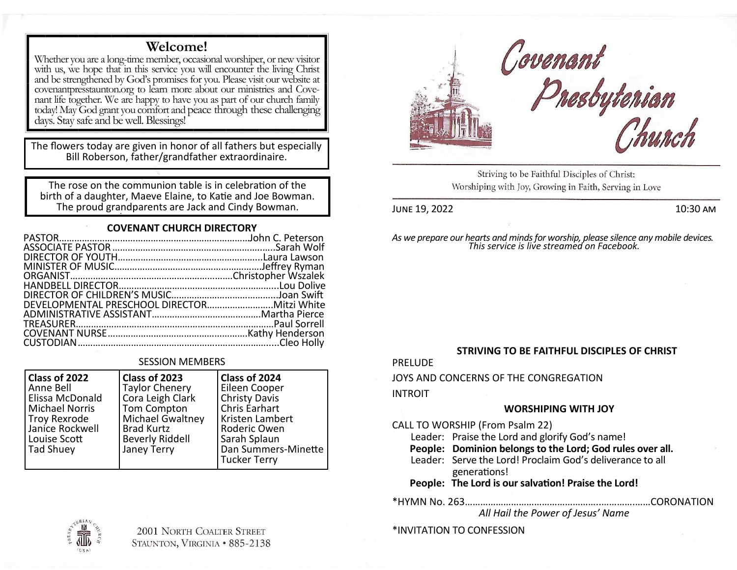# **Welcome!**

Whether you are a long-time member, occasional worshiper, or new visitor with us, we hope that in this service you will encounter the living Christ and be strengthened by God's promises for you. Please visit our website at covenantpresstaunton.org to learn more about our ministries and Covenant life together. We are happy to have you as part of our church family today! May God grant you comfort and peace through these challenging days. Stay safe and be well. Blessings!

The flowers today are given in honor of all fathers but especially Bill Roberson, father/grandfather extraordinaire.

The rose on the communion table is in celebration of the birth of a daughter, Maeve Elaine, to Katie and Joe Bowman. The proud grandparents are Jack and Cindy Bowman.

# **COVENANT CHURCH DIRECTORY**

# SESSION MEMBERS

| Class of 2022          | Class of 2023           | Class of 2024          |
|------------------------|-------------------------|------------------------|
| Anne Bell              | <b>Taylor Chenery</b>   | Eileen Cooper          |
| <b>Elissa McDonald</b> | Cora Leigh Clark        | <b>Christy Davis</b>   |
| Michael Norris         | Tom Compton             | Chris Earhart          |
| Troy Rexrode           | <b>Michael Gwaltney</b> | <b>Kristen Lambert</b> |
| Janice Rockwell        | <b>Brad Kurtz</b>       | Roderic Owen           |
| Louise Scott           | <b>Beverly Riddell</b>  | Sarah Splaun           |
| Tad Shuey              | Janey Terry             | Dan Summers-Minette    |
|                        |                         | <b>Tucker Terry</b>    |



Covenant<br>Presbytenian<br>Church

Striving to be Faithful Disciples of Christ: Worshiping with Joy, Growing in Faith, Serving in Love

June 19, 2022 10:30 am

*As we prepare our hearts and minds for worship, please silence any mobile devices. This service is live streamed on Facebook.* 

# **STRIVING TO BE FAITHFUL DISCIPLES OF CHRIST**

# PRELUDE

JOYS AND CONCERNS OF THE CONGREGATION

INTROIT

# **WORSHIPING WITH JOY**

CALL TO WORSHIP (From Psalm 22)

Leader: Praise the Lord and glorify God's name!

**People: Dominion belongs to the Lord; God rules over all.**

 Leader: Serve the Lord! Proclaim God's deliverance to all generations!

**People: The Lord is our salvation! Praise the Lord!**

\*HYMN No. 263……………………………………………..………….……CORONATION

*All Hail the Power of Jesus' Name*

\*INVITATION TO CONFESSION

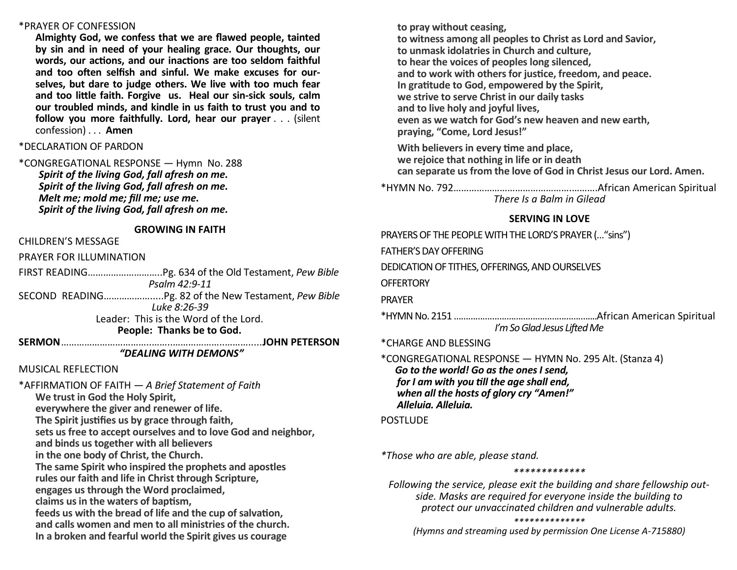# \*PRAYER OF CONFESSION

**Almighty God, we confess that we are flawed people, tainted by sin and in need of your healing grace. Our thoughts, our words, our actions, and our inactions are too seldom faithful and too often selfish and sinful. We make excuses for ourselves, but dare to judge others. We live with too much fear and too little faith. Forgive us. Heal our sin-sick souls, calm our troubled minds, and kindle in us faith to trust you and to follow you more faithfully. Lord, hear our prayer** . . . (silent confession) . . . **Amen**

# \*DECLARATION OF PARDON

\*CONGREGATIONAL RESPONSE — Hymn No. 288 *Spirit of the living God, fall afresh on me. Spirit of the living God, fall afresh on me. Melt me; mold me; fill me; use me. Spirit of the living God, fall afresh on me.*

## **GROWING IN FAITH**

CHILDREN'S MESSAGE

PRAYER FOR ILLUMINATION

FIRST READING………………………..Pg. 634 of the Old Testament, *Pew Bible Psalm 42:9-11*

SECOND READING……………….....Pg. 82 of the New Testament, *Pew Bible Luke 8:26-39*

Leader: This is the Word of the Lord.

**People: Thanks be to God.**

**SERMON**……………………………..……..………………..……….....**JOHN PETERSON**

# *"DEALING WITH DEMONS"*

#### MUSICAL REFLECTION

\*AFFIRMATION OF FAITH *— A Brief Statement of Faith* **We trust in God the Holy Spirit, everywhere the giver and renewer of life. The Spirit justifies us by grace through faith, sets us free to accept ourselves and to love God and neighbor, and binds us together with all believers in the one body of Christ, the Church. The same Spirit who inspired the prophets and apostles rules our faith and life in Christ through Scripture, engages us through the Word proclaimed, claims us in the waters of baptism, feeds us with the bread of life and the cup of salvation, and calls women and men to all ministries of the church. In a broken and fearful world the Spirit gives us courage**

**to pray without ceasing,**

**to witness among all peoples to Christ as Lord and Savior,**

**to unmask idolatries in Church and culture,**

**to hear the voices of peoples long silenced,**

**and to work with others for justice, freedom, and peace.**

**In gratitude to God, empowered by the Spirit,**

**we strive to serve Christ in our daily tasks**

**and to live holy and joyful lives,**

**even as we watch for God's new heaven and new earth, praying, "Come, Lord Jesus!"**

**With believers in every time and place, we rejoice that nothing in life or in death can separate us from the love of God in Christ Jesus our Lord. Amen.** 

\*HYMN No. 792……………………………………….……….African American Spiritual *There Is a Balm in Gilead*

# **SERVING IN LOVE**

PRAYERS OF THE PEOPLE WITH THE LORD'S PRAYER (…"sins")

FATHER'S DAY OFFERING

DEDICATION OF TITHES, OFFERINGS, AND OURSELVES

**OFFERTORY** 

PRAYER

\*HYMN No. 2151 …………………….………………………….....African American Spiritual *I'm So Glad Jesus Lifted Me*

# \*CHARGE AND BLESSING

\*CONGREGATIONAL RESPONSE — HYMN No. 295 Alt. (Stanza 4) *Go to the world! Go as the ones I send, for I am with you till the age shall end, when all the hosts of glory cry "Amen!" Alleluia. Alleluia.*

# POSTLUDE

*\*Those who are able, please stand.* 

#### *\*\*\*\*\*\*\*\*\*\*\*\*\**

*Following the service, please exit the building and share fellowship outside. Masks are required for everyone inside the building to protect our unvaccinated children and vulnerable adults.*

*\*\*\*\*\*\*\*\*\*\*\*\*\*\**

*(Hymns and streaming used by permission One License A-715880)*